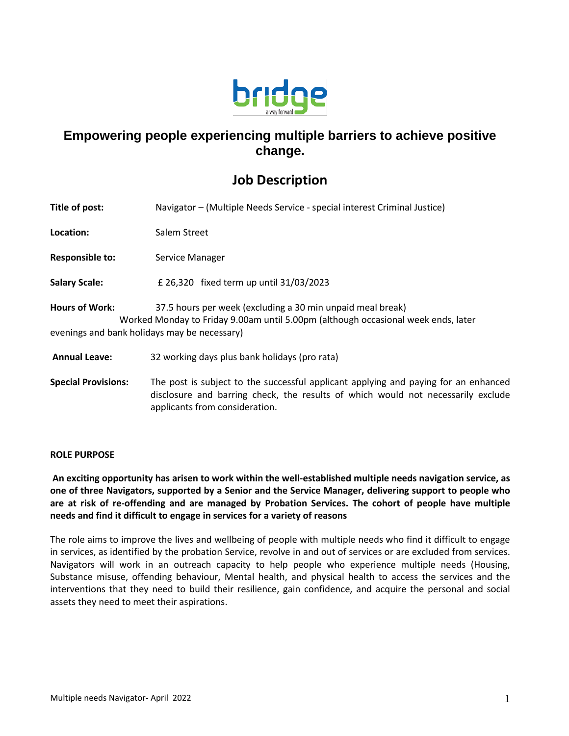

## **Empowering people experiencing multiple barriers to achieve positive change.**

## **Job Description**

| Title of post:                                                        | Navigator – (Multiple Needs Service - special interest Criminal Justice)                                                                                                |
|-----------------------------------------------------------------------|-------------------------------------------------------------------------------------------------------------------------------------------------------------------------|
| Location:                                                             | Salem Street                                                                                                                                                            |
| <b>Responsible to:</b>                                                | Service Manager                                                                                                                                                         |
| <b>Salary Scale:</b>                                                  | £ 26,320 fixed term up until 31/03/2023                                                                                                                                 |
| <b>Hours of Work:</b><br>evenings and bank holidays may be necessary) | 37.5 hours per week (excluding a 30 min unpaid meal break)<br>Worked Monday to Friday 9.00am until 5.00pm (although occasional week ends, later                         |
| <b>Annual Leave:</b>                                                  | 32 working days plus bank holidays (pro rata)                                                                                                                           |
| <b>Special Provisions:</b>                                            | The post is subject to the successful applicant applying and paying for an enhanced<br>disclosure and barring check, the results of which would not necessarily exclude |

applicants from consideration.

## **ROLE PURPOSE**

**An exciting opportunity has arisen to work within the well-established multiple needs navigation service, as one of three Navigators, supported by a Senior and the Service Manager, delivering support to people who are at risk of re-offending and are managed by Probation Services. The cohort of people have multiple needs and find it difficult to engage in services for a variety of reasons**

The role aims to improve the lives and wellbeing of people with multiple needs who find it difficult to engage in services, as identified by the probation Service, revolve in and out of services or are excluded from services. Navigators will work in an outreach capacity to help people who experience multiple needs (Housing, Substance misuse, offending behaviour, Mental health, and physical health to access the services and the interventions that they need to build their resilience, gain confidence, and acquire the personal and social assets they need to meet their aspirations.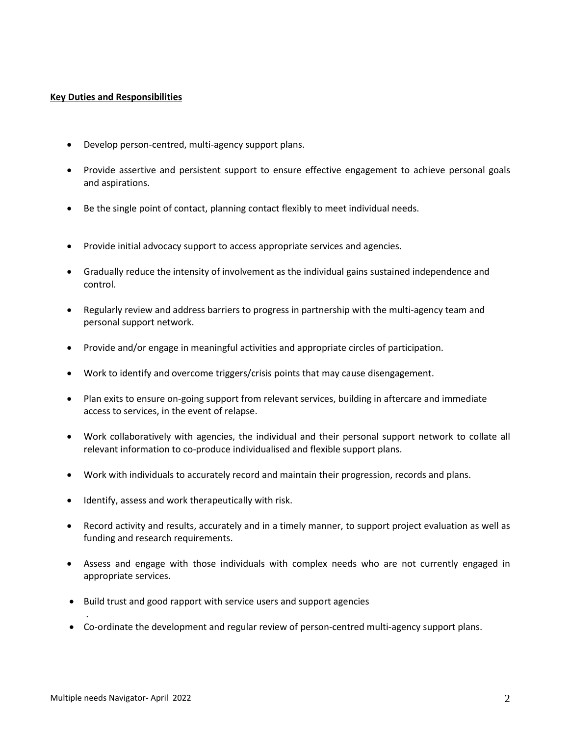## **Key Duties and Responsibilities**

- Develop person-centred, multi-agency support plans.
- Provide assertive and persistent support to ensure effective engagement to achieve personal goals and aspirations.
- Be the single point of contact, planning contact flexibly to meet individual needs.
- Provide initial advocacy support to access appropriate services and agencies.
- Gradually reduce the intensity of involvement as the individual gains sustained independence and control.
- Regularly review and address barriers to progress in partnership with the multi-agency team and personal support network.
- Provide and/or engage in meaningful activities and appropriate circles of participation.
- Work to identify and overcome triggers/crisis points that may cause disengagement.
- Plan exits to ensure on-going support from relevant services, building in aftercare and immediate access to services, in the event of relapse.
- Work collaboratively with agencies, the individual and their personal support network to collate all relevant information to co-produce individualised and flexible support plans.
- Work with individuals to accurately record and maintain their progression, records and plans.
- Identify, assess and work therapeutically with risk.
- Record activity and results, accurately and in a timely manner, to support project evaluation as well as funding and research requirements.
- Assess and engage with those individuals with complex needs who are not currently engaged in appropriate services.
- Build trust and good rapport with service users and support agencies
- Co-ordinate the development and regular review of person-centred multi-agency support plans.

.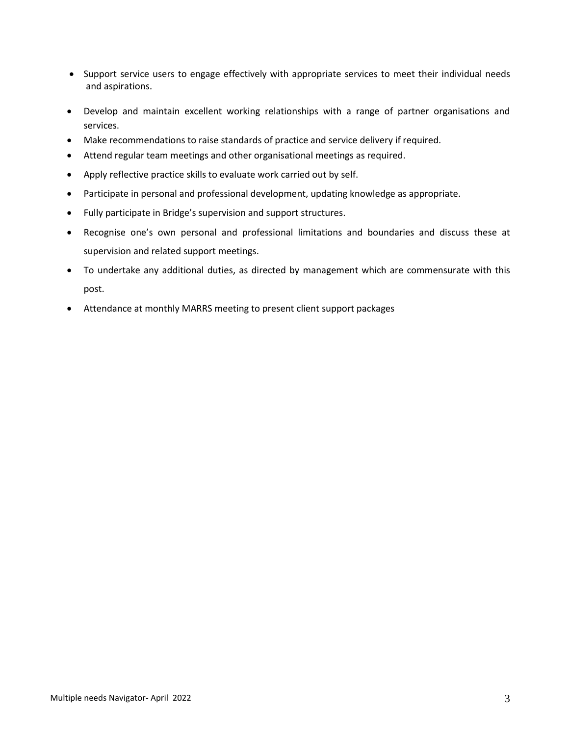- Support service users to engage effectively with appropriate services to meet their individual needs and aspirations.
- Develop and maintain excellent working relationships with a range of partner organisations and services.
- Make recommendations to raise standards of practice and service delivery if required.
- Attend regular team meetings and other organisational meetings as required.
- Apply reflective practice skills to evaluate work carried out by self.
- Participate in personal and professional development, updating knowledge as appropriate.
- Fully participate in Bridge's supervision and support structures.
- Recognise one's own personal and professional limitations and boundaries and discuss these at supervision and related support meetings.
- To undertake any additional duties, as directed by management which are commensurate with this post.
- Attendance at monthly MARRS meeting to present client support packages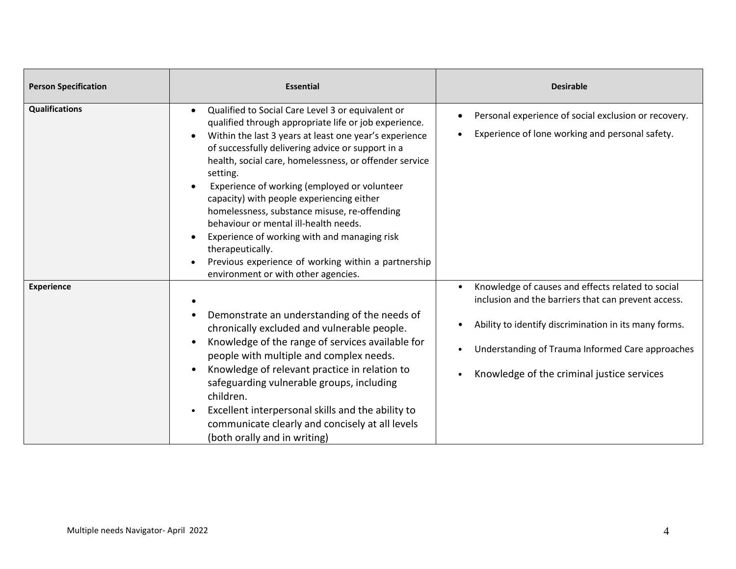| <b>Person Specification</b> | <b>Essential</b>                                                                                                                                                                                                                                                                                                                                                                                                                                                                                                                                                                                                                                                                                                         | <b>Desirable</b>                                                                                                                                                                                                                                                    |
|-----------------------------|--------------------------------------------------------------------------------------------------------------------------------------------------------------------------------------------------------------------------------------------------------------------------------------------------------------------------------------------------------------------------------------------------------------------------------------------------------------------------------------------------------------------------------------------------------------------------------------------------------------------------------------------------------------------------------------------------------------------------|---------------------------------------------------------------------------------------------------------------------------------------------------------------------------------------------------------------------------------------------------------------------|
| <b>Qualifications</b>       | Qualified to Social Care Level 3 or equivalent or<br>$\bullet$<br>qualified through appropriate life or job experience.<br>Within the last 3 years at least one year's experience<br>$\bullet$<br>of successfully delivering advice or support in a<br>health, social care, homelessness, or offender service<br>setting.<br>Experience of working (employed or volunteer<br>$\bullet$<br>capacity) with people experiencing either<br>homelessness, substance misuse, re-offending<br>behaviour or mental ill-health needs.<br>Experience of working with and managing risk<br>$\bullet$<br>therapeutically.<br>Previous experience of working within a partnership<br>$\bullet$<br>environment or with other agencies. | Personal experience of social exclusion or recovery.<br>Experience of lone working and personal safety.                                                                                                                                                             |
| <b>Experience</b>           | $\bullet$<br>Demonstrate an understanding of the needs of<br>٠<br>chronically excluded and vulnerable people.<br>Knowledge of the range of services available for<br>$\bullet$<br>people with multiple and complex needs.<br>Knowledge of relevant practice in relation to<br>$\bullet$<br>safeguarding vulnerable groups, including<br>children.<br>Excellent interpersonal skills and the ability to<br>$\bullet$<br>communicate clearly and concisely at all levels<br>(both orally and in writing)                                                                                                                                                                                                                   | Knowledge of causes and effects related to social<br>inclusion and the barriers that can prevent access.<br>Ability to identify discrimination in its many forms.<br>Understanding of Trauma Informed Care approaches<br>Knowledge of the criminal justice services |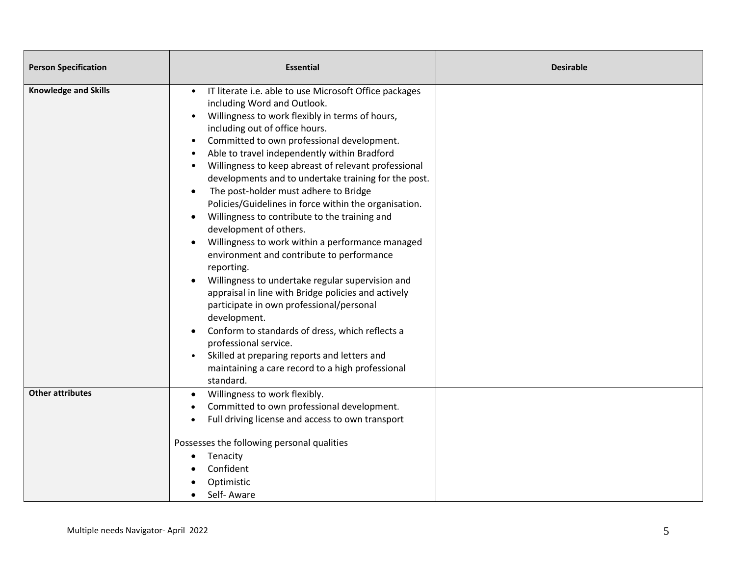| <b>Person Specification</b> | <b>Essential</b>                                                                                                                                                                                                                                                                                                                                                                                                                                                                                                                                                                                                                                                                                                                                                                                                                                                                                                                                                                                                                                                                                                          | <b>Desirable</b> |
|-----------------------------|---------------------------------------------------------------------------------------------------------------------------------------------------------------------------------------------------------------------------------------------------------------------------------------------------------------------------------------------------------------------------------------------------------------------------------------------------------------------------------------------------------------------------------------------------------------------------------------------------------------------------------------------------------------------------------------------------------------------------------------------------------------------------------------------------------------------------------------------------------------------------------------------------------------------------------------------------------------------------------------------------------------------------------------------------------------------------------------------------------------------------|------------------|
| <b>Knowledge and Skills</b> | IT literate i.e. able to use Microsoft Office packages<br>including Word and Outlook.<br>Willingness to work flexibly in terms of hours,<br>$\bullet$<br>including out of office hours.<br>Committed to own professional development.<br>$\bullet$<br>Able to travel independently within Bradford<br>Willingness to keep abreast of relevant professional<br>developments and to undertake training for the post.<br>The post-holder must adhere to Bridge<br>$\bullet$<br>Policies/Guidelines in force within the organisation.<br>Willingness to contribute to the training and<br>$\bullet$<br>development of others.<br>Willingness to work within a performance managed<br>environment and contribute to performance<br>reporting.<br>Willingness to undertake regular supervision and<br>appraisal in line with Bridge policies and actively<br>participate in own professional/personal<br>development.<br>Conform to standards of dress, which reflects a<br>professional service.<br>Skilled at preparing reports and letters and<br>$\bullet$<br>maintaining a care record to a high professional<br>standard. |                  |
| <b>Other attributes</b>     | Willingness to work flexibly.<br>Committed to own professional development.<br>Full driving license and access to own transport<br>Possesses the following personal qualities<br>Tenacity<br>Confident<br>Optimistic<br>Self-Aware                                                                                                                                                                                                                                                                                                                                                                                                                                                                                                                                                                                                                                                                                                                                                                                                                                                                                        |                  |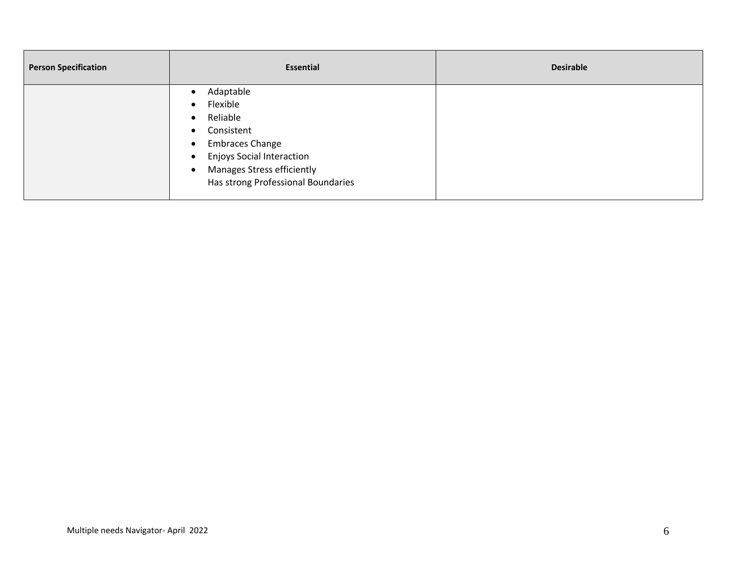| <b>Person Specification</b> |                                                                                                                                                                                          | <b>Desirable</b> |
|-----------------------------|------------------------------------------------------------------------------------------------------------------------------------------------------------------------------------------|------------------|
| $\bullet$<br>$\bullet$      | Adaptable<br>Flexible<br>Reliable<br>Consistent<br><b>Embraces Change</b><br><b>Enjoys Social Interaction</b><br><b>Manages Stress efficiently</b><br>Has strong Professional Boundaries |                  |